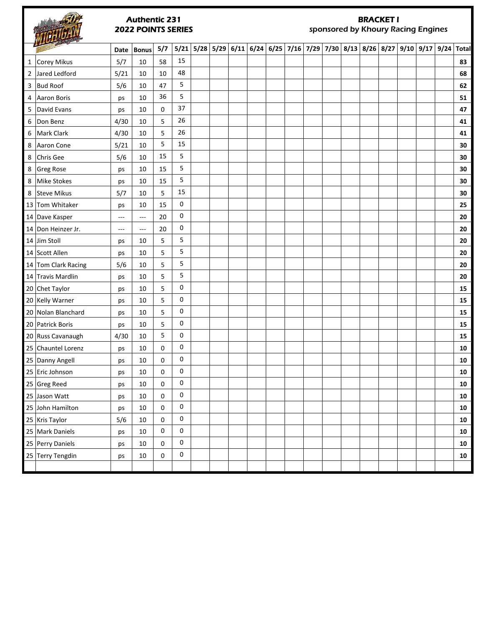# Date | Bonus | 5/7 | 5/21 | 5/28 | 5/29 | 6/11 | 6/24 | 6/25 | 7/16 | 7/29 | 7/30 | 8/13 | 8/26 | 8/27 | 9/10 | 9/17 | 9/24 | Total Corey Mikus 5/7 10 58 15 **83** Jared Ledford 5/21 10 10 48 **68** Bud Roof 5/6 10 47 5 **62** Aaron Boris ps 10 36 5 **51** David Evans ps 10 0 37 **47** Don Benz 4/30 10 5 26 **41** Mark Clark 4/30 10 5 26 **41** Aaron Cone 5/21 10 5 15 **30** Chris Gee 5/6 10 15 5 **30** Greg Rose ps 10 15 5 **30** Mike Stokes ps 10 15 5 **30** Steve Mikus 5/7 10 5 15 **30** Tom Whitaker ps 10 15 0 **25** Dave Kasper --- --- 20 0 **20** Don Heinzer Jr. --- --- 20 0 **20** Jim Stoll ps 10 5 5 **20** Scott Allen ps 10 5 5 **20** Tom Clark Racing 5/6 10 5 5 **20** Travis Mardlin ps 10 5 5 **20** Authentic 231 2022 POINTS SERIES BRACKET I sponsored by Khoury Racing Engines

 Chet Taylor ps 10 5 0 **15** Kelly Warner ps 10 5 0 **15** Nolan Blanchard ps 10 5 0 **15** Patrick Boris ps 10 5 0 **15** Russ Cavanaugh 4/30 10 5 0 **15** Chauntel Lorenz ps 10 0 0 **10** Danny Angell ps 10 0 0 **10** Eric Johnson ps 10 0 0 **10** Greg Reed ps 10 0 0 **10** Jason Watt ps 10 0 0 **10** John Hamilton ps 10 0 0 **10** Kris Taylor 5/6 10 0 0 **10** Mark Daniels ps 10 0 0 **10** Perry Daniels ps 10 0 0 **10** Terry Tengdin ps 10 0 0 **10**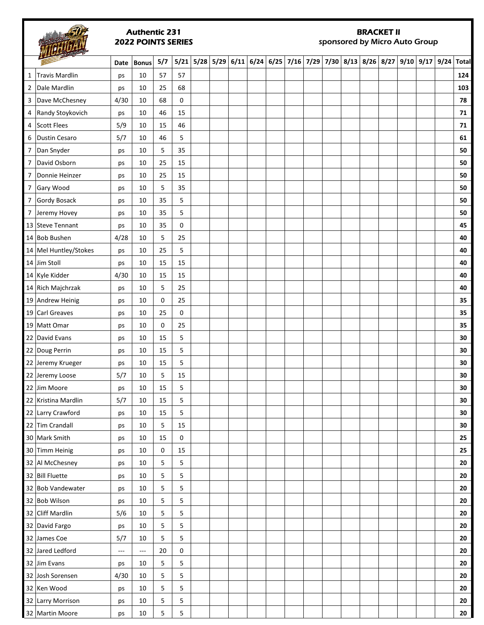#### Authentic 231 2022 POINTS SERIES

# BRACKET II

sponsored by Micro Auto Group

|                | $\overline{\phantom{a}}$ | Date          | <b>Bonus</b> | 5/7 |    | 5/21 5/28 5/29 6/11 6/24 6/25 7/16 7/29 7/30 8/13 8/26 8/27 9/10 9/17 9/24 Total |  |  |  |  |  |  |            |
|----------------|--------------------------|---------------|--------------|-----|----|----------------------------------------------------------------------------------|--|--|--|--|--|--|------------|
| 1              | Travis Mardlin           | ps            | 10           | 57  | 57 |                                                                                  |  |  |  |  |  |  | 124        |
| $\overline{2}$ | Dale Mardlin             | ps            | 10           | 25  | 68 |                                                                                  |  |  |  |  |  |  | 103        |
| 3              | Dave McChesney           | 4/30          | 10           | 68  | 0  |                                                                                  |  |  |  |  |  |  | 78         |
|                | 4 Randy Stoykovich       | ps            | 10           | 46  | 15 |                                                                                  |  |  |  |  |  |  | 71         |
|                | 4 Scott Flees            | 5/9           | 10           | 15  | 46 |                                                                                  |  |  |  |  |  |  | 71         |
| 6              | Dustin Cesaro            | 5/7           | 10           | 46  | 5  |                                                                                  |  |  |  |  |  |  | 61         |
| $\overline{7}$ | Dan Snyder               | ps            | 10           | 5   | 35 |                                                                                  |  |  |  |  |  |  | 50         |
| $\overline{7}$ | David Osborn             | ps            | 10           | 25  | 15 |                                                                                  |  |  |  |  |  |  | 50         |
| 7              | Donnie Heinzer           | ps            | 10           | 25  | 15 |                                                                                  |  |  |  |  |  |  | 50         |
|                | 7 Gary Wood              | ps            | 10           | 5   | 35 |                                                                                  |  |  |  |  |  |  | 50         |
|                | 7 Gordy Bosack           | ps            | 10           | 35  | 5  |                                                                                  |  |  |  |  |  |  | 50         |
|                | 7 Jeremy Hovey           | ps            | 10           | 35  | 5  |                                                                                  |  |  |  |  |  |  | 50         |
|                | 13 Steve Tennant         | ps            | 10           | 35  | 0  |                                                                                  |  |  |  |  |  |  | 45         |
|                | 14 Bob Bushen            | 4/28          | 10           | 5   | 25 |                                                                                  |  |  |  |  |  |  | 40         |
|                | 14 Mel Huntley/Stokes    | ps            | 10           | 25  | 5  |                                                                                  |  |  |  |  |  |  | 40         |
|                | 14 Jim Stoll             | ps            | 10           | 15  | 15 |                                                                                  |  |  |  |  |  |  | 40         |
|                | 14 Kyle Kidder           | 4/30          | 10           | 15  | 15 |                                                                                  |  |  |  |  |  |  | 40         |
|                | 14 Rich Majchrzak        | ps            | 10           | 5   | 25 |                                                                                  |  |  |  |  |  |  | 40         |
|                | 19 Andrew Heinig         | ps            | 10           | 0   | 25 |                                                                                  |  |  |  |  |  |  | 35         |
|                | 19 Carl Greaves          | ps            | 10           | 25  | 0  |                                                                                  |  |  |  |  |  |  | 35         |
|                | 19 Matt Omar             | ps            | 10           | 0   | 25 |                                                                                  |  |  |  |  |  |  | 35         |
|                | 22 David Evans           | ps            | 10           | 15  | 5  |                                                                                  |  |  |  |  |  |  | 30         |
|                | 22 Doug Perrin           | ps            | 10           | 15  | 5  |                                                                                  |  |  |  |  |  |  | 30         |
|                | 22 Jeremy Krueger        | ps            | 10           | 15  | 5  |                                                                                  |  |  |  |  |  |  | 30         |
|                | 22 Jeremy Loose          | 5/7           | 10           | 5   | 15 |                                                                                  |  |  |  |  |  |  | 30         |
|                | 22 Jim Moore             | ps            | 10           | 15  | 5  |                                                                                  |  |  |  |  |  |  | 30         |
|                | 22 Kristina Mardlin      | 5/7           | 10           | 15  | 5  |                                                                                  |  |  |  |  |  |  | 30         |
|                | 22 Larry Crawford        | ps            | 10           | 15  | 5  |                                                                                  |  |  |  |  |  |  | 30         |
|                | 22 Tim Crandall          | ps            | 10           | 5   | 15 |                                                                                  |  |  |  |  |  |  | 30         |
|                | 30 Mark Smith            | ps            | 10           | 15  | 0  |                                                                                  |  |  |  |  |  |  | 25         |
|                | 30 Timm Heinig           | ps            | 10           | 0   | 15 |                                                                                  |  |  |  |  |  |  | 25         |
|                | 32 Al McChesney          | ps            | 10           | 5   | 5  |                                                                                  |  |  |  |  |  |  | 20         |
|                | 32 Bill Fluette          | ps            | 10           | 5   | 5  |                                                                                  |  |  |  |  |  |  | 20         |
|                | 32 Bob Vandewater        | ps            | 10           | 5   | 5  |                                                                                  |  |  |  |  |  |  | 20         |
|                | 32 Bob Wilson            | ps            | 10           | 5   | 5  |                                                                                  |  |  |  |  |  |  | 20         |
|                | 32 Cliff Mardlin         | 5/6           | 10           | 5   | 5  |                                                                                  |  |  |  |  |  |  | 20         |
|                | 32 David Fargo           | ps            | 10           | 5   | 5  |                                                                                  |  |  |  |  |  |  | 20         |
|                | 32 James Coe             | 5/7           | 10           | 5   | 5  |                                                                                  |  |  |  |  |  |  | 20         |
|                | 32 Jared Ledford         | $\sim$ $\sim$ | ---          | 20  | 0  |                                                                                  |  |  |  |  |  |  | 20         |
|                | 32 Jim Evans             | ps            | 10           | 5   | 5  |                                                                                  |  |  |  |  |  |  | 20         |
|                | 32 Josh Sorensen         | 4/30          | 10           | 5   | 5  |                                                                                  |  |  |  |  |  |  | 20         |
|                | 32 Ken Wood              | ps            | 10           | 5   | 5  |                                                                                  |  |  |  |  |  |  | 20         |
|                | 32 Larry Morrison        | ps            | 10           | 5   | 5  |                                                                                  |  |  |  |  |  |  | ${\bf 20}$ |
|                | 32 Martin Moore          | ps            | $10\,$       | 5   | 5  |                                                                                  |  |  |  |  |  |  | ${\bf 20}$ |
|                |                          |               |              |     |    |                                                                                  |  |  |  |  |  |  |            |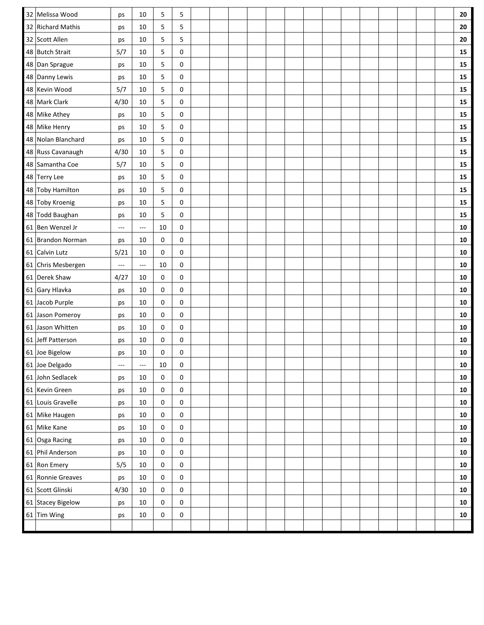| 32 Melissa Wood    | ps                       | 10                       | 5           | 5           |  |  |  |  |  |  |  | ${\bf 20}$ |
|--------------------|--------------------------|--------------------------|-------------|-------------|--|--|--|--|--|--|--|------------|
| 32 Richard Mathis  | ps                       | 10                       | 5           | 5           |  |  |  |  |  |  |  | 20         |
| 32 Scott Allen     | ps                       | 10                       | 5           | 5           |  |  |  |  |  |  |  | 20         |
| 48 Butch Strait    | 5/7                      | 10                       | 5           | 0           |  |  |  |  |  |  |  | 15         |
| 48 Dan Sprague     | ps                       | 10                       | 5           | 0           |  |  |  |  |  |  |  | ${\bf 15}$ |
| 48 Danny Lewis     | ps                       | 10                       | 5           | 0           |  |  |  |  |  |  |  | 15         |
| 48 Kevin Wood      | 5/7                      | 10                       | 5           | 0           |  |  |  |  |  |  |  | 15         |
| 48 Mark Clark      | 4/30                     | 10                       | 5           | 0           |  |  |  |  |  |  |  | ${\bf 15}$ |
| 48 Mike Athey      | ps                       | 10                       | 5           | 0           |  |  |  |  |  |  |  | 15         |
| 48 Mike Henry      | ps                       | 10                       | 5           | 0           |  |  |  |  |  |  |  | ${\bf 15}$ |
| 48 Nolan Blanchard | ps                       | 10                       | 5           | 0           |  |  |  |  |  |  |  | ${\bf 15}$ |
| 48 Russ Cavanaugh  | 4/30                     | 10                       | 5           | 0           |  |  |  |  |  |  |  | ${\bf 15}$ |
| 48 Samantha Coe    | 5/7                      | 10                       | 5           | 0           |  |  |  |  |  |  |  | 15         |
| 48 Terry Lee       | ps                       | 10                       | 5           | 0           |  |  |  |  |  |  |  | ${\bf 15}$ |
| 48 Toby Hamilton   | ps                       | 10                       | 5           | 0           |  |  |  |  |  |  |  | 15         |
| 48 Toby Kroenig    | ps                       | 10                       | 5           | 0           |  |  |  |  |  |  |  | ${\bf 15}$ |
| 48 Todd Baughan    | ps                       | 10                       | 5           | $\mathsf 0$ |  |  |  |  |  |  |  | 15         |
| 61 Ben Wenzel Jr   | $\sim$ $\sim$            | $\sim$ $\sim$ $\sim$     | 10          | 0           |  |  |  |  |  |  |  | ${\bf 10}$ |
| 61 Brandon Norman  | ps                       | 10                       | 0           | $\mathsf 0$ |  |  |  |  |  |  |  | ${\bf 10}$ |
| 61 Calvin Lutz     | 5/21                     | 10                       | 0           | 0           |  |  |  |  |  |  |  | 10         |
| 61 Chris Mesbergen | $---$                    | ---                      | 10          | 0           |  |  |  |  |  |  |  | ${\bf 10}$ |
| 61 Derek Shaw      | 4/27                     | 10                       | 0           | 0           |  |  |  |  |  |  |  | ${\bf 10}$ |
| 61 Gary Hlavka     | ps                       | 10                       | $\mathbf 0$ | 0           |  |  |  |  |  |  |  | ${\bf 10}$ |
| 61 Jacob Purple    | ps                       | 10                       | 0           | $\mathsf 0$ |  |  |  |  |  |  |  | ${\bf 10}$ |
| 61 Jason Pomeroy   | ps                       | 10                       | 0           | 0           |  |  |  |  |  |  |  | ${\bf 10}$ |
| 61 Jason Whitten   | ps                       | 10                       | 0           | 0           |  |  |  |  |  |  |  | ${\bf 10}$ |
| 61 Jeff Patterson  | ps                       | 10                       | 0           | 0           |  |  |  |  |  |  |  | 10         |
| 61 Joe Bigelow     | ps                       | 10                       | 0           | 0           |  |  |  |  |  |  |  | 10         |
| 61 Joe Delgado     | $\hspace{0.05cm} \ldots$ | $\hspace{0.05cm} \ldots$ | 10          | 0           |  |  |  |  |  |  |  | ${\bf 10}$ |
| 61 John Sedlacek   | ps                       | 10                       | $\mathbf 0$ | 0           |  |  |  |  |  |  |  | 10         |
| 61 Kevin Green     | ps                       | $10\,$                   | 0           | 0           |  |  |  |  |  |  |  | ${\bf 10}$ |
| 61 Louis Gravelle  | ps                       | 10                       | 0           | 0           |  |  |  |  |  |  |  | ${\bf 10}$ |
| 61 Mike Haugen     | ps                       | $10\,$                   | 0           | $\mathsf 0$ |  |  |  |  |  |  |  | ${\bf 10}$ |
| 61 Mike Kane       | ps                       | 10                       | 0           | 0           |  |  |  |  |  |  |  | 10         |
| 61 Osga Racing     | ps                       | 10                       | 0           | 0           |  |  |  |  |  |  |  | ${\bf 10}$ |
| 61 Phil Anderson   | ps                       | 10                       | 0           | 0           |  |  |  |  |  |  |  | ${\bf 10}$ |
| 61 Ron Emery       | 5/5                      | $10\,$                   | 0           | 0           |  |  |  |  |  |  |  | 10         |
| 61 Ronnie Greaves  | ps                       | $10\,$                   | 0           | 0           |  |  |  |  |  |  |  | ${\bf 10}$ |
| 61 Scott Glinski   | 4/30                     | 10                       | $\mathbf 0$ | 0           |  |  |  |  |  |  |  | ${\bf 10}$ |
| 61 Stacey Bigelow  | ps                       | 10                       | 0           | 0           |  |  |  |  |  |  |  | 10         |
| 61 Tim Wing        | ps                       | 10                       | 0           | 0           |  |  |  |  |  |  |  | ${\bf 10}$ |
|                    |                          |                          |             |             |  |  |  |  |  |  |  |            |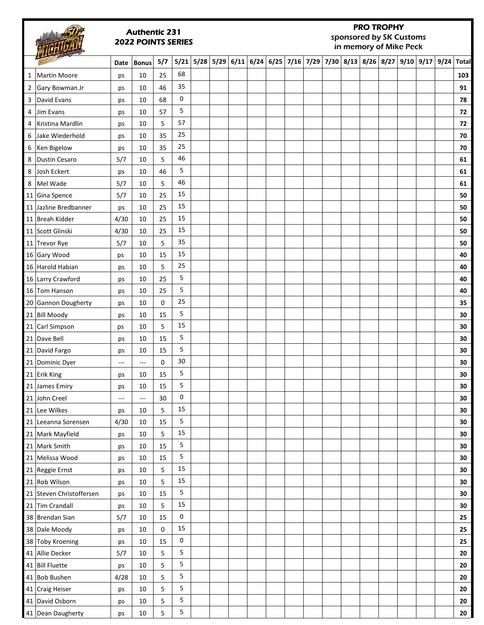|                |                          |      | <b>Authentic 231</b><br><b>2022 POINTS SERIES</b> |     |           |                  |      |             |  |  | <b>PRO TROPHY</b><br>sponsored by SK Customs<br>in memory of Mike Peck |             |      |            |
|----------------|--------------------------|------|---------------------------------------------------|-----|-----------|------------------|------|-------------|--|--|------------------------------------------------------------------------|-------------|------|------------|
|                |                          | Date | <b>Bonus</b>                                      | 5/7 |           | $5/21$ 5/28 5/29 | 6/11 | $6/24$ 6/25 |  |  | 7/16 7/29 7/30 8/13 8/26 8/27                                          | $9/10$ 9/17 | 9/24 | Total      |
| 1              | Martin Moore             | ps   | 10                                                | 25  | 68        |                  |      |             |  |  |                                                                        |             |      | 103        |
| $\overline{2}$ | Gary Bowman Jr           | ps   | 10                                                | 46  | 35        |                  |      |             |  |  |                                                                        |             |      | 91         |
| 3              | David Evans              | ps   | 10                                                | 68  | 0         |                  |      |             |  |  |                                                                        |             |      | 78         |
| 4              | Jim Evans                | ps   | 10                                                | 57  | 5         |                  |      |             |  |  |                                                                        |             |      | 72         |
| 4              | Kristina Mardlin         | ps   | 10                                                | 5   | 57        |                  |      |             |  |  |                                                                        |             |      | 72         |
| 6              | Jake Wiederhold          | ps   | 10                                                | 35  | 25        |                  |      |             |  |  |                                                                        |             |      | 70         |
| 6              | Ken Bigelow              | ps   | 10                                                | 35  | 25        |                  |      |             |  |  |                                                                        |             |      | 70         |
| 8              | Dustin Cesaro            | 5/7  | 10                                                | 5   | 46        |                  |      |             |  |  |                                                                        |             |      | 61         |
| 8              | Josh Eckert              | ps   | 10                                                | 46  | 5         |                  |      |             |  |  |                                                                        |             |      | 61         |
| 8              | Mel Wade                 | 5/7  | 10                                                | 5   | 46        |                  |      |             |  |  |                                                                        |             |      | 61         |
|                | 11 Gina Spence           | 5/7  | 10                                                | 25  | 15        |                  |      |             |  |  |                                                                        |             |      | 50         |
|                | 11 Jazline Bredbanner    | ps   | 10                                                | 25  | 15        |                  |      |             |  |  |                                                                        |             |      | 50         |
|                | 11 Breah Kidder          | 4/30 | 10                                                | 25  | 15        |                  |      |             |  |  |                                                                        |             |      | 50         |
|                | 11 Scott Glinski         | 4/30 | 10                                                | 25  | 15        |                  |      |             |  |  |                                                                        |             |      | 50         |
|                | 11 Trevor Rye            | 5/7  | 10                                                | 5   | 35        |                  |      |             |  |  |                                                                        |             |      | 50         |
|                | 16 Gary Wood             | ps   | 10                                                | 15  | 15        |                  |      |             |  |  |                                                                        |             |      | 40         |
|                | 16 Harold Habian         | ps   | 10                                                | 5   | 25        |                  |      |             |  |  |                                                                        |             |      | 40         |
|                | 16 Larry Crawford        | ps   | 10                                                | 25  | 5         |                  |      |             |  |  |                                                                        |             |      | 40         |
|                | 16 Tom Hanson            | ps   | 10                                                | 25  | 5         |                  |      |             |  |  |                                                                        |             |      | 40         |
|                | 20 Gannon Dougherty      | ps   | 10                                                | 0   | 25        |                  |      |             |  |  |                                                                        |             |      | 35         |
|                | 21 Bill Moody            | ps   | 10                                                | 15  | 5         |                  |      |             |  |  |                                                                        |             |      | 30         |
|                | 21 Carl Simpson          | ps   | 10                                                | 5   | 15        |                  |      |             |  |  |                                                                        |             |      | 30         |
|                | 21 Dave Bell             | ps   | 10                                                | 15  | 5         |                  |      |             |  |  |                                                                        |             |      | 30         |
|                | 21 David Fargo           | ps   | 10                                                | 15  | 5         |                  |      |             |  |  |                                                                        |             |      | 30         |
|                | 21 Dominic Dyer          | ---  | ---                                               | 0   | 30        |                  |      |             |  |  |                                                                        |             |      | 30         |
|                | 21 Erik King             | ps   | 10                                                | 15  | 5         |                  |      |             |  |  |                                                                        |             |      | $\bf{30}$  |
|                | 21 James Emiry           | ps   | 10                                                | 15  | 5         |                  |      |             |  |  |                                                                        |             |      | 30         |
|                | 21 John Creel            | ---  | $---$                                             | 30  | 0         |                  |      |             |  |  |                                                                        |             |      | $30\,$     |
|                | 21 Lee Wilkes            | ps   | 10                                                | 5   | 15        |                  |      |             |  |  |                                                                        |             |      | 30         |
|                | 21 Leeanna Sorensen      | 4/30 | 10                                                | 15  | 5         |                  |      |             |  |  |                                                                        |             |      | 30         |
|                | 21 Mark Mayfield         | ps   | 10                                                | 5   | 15        |                  |      |             |  |  |                                                                        |             |      | $30\,$     |
|                | 21 Mark Smith            | ps   | 10                                                | 15  | 5         |                  |      |             |  |  |                                                                        |             |      | $30\,$     |
|                | 21 Melissa Wood          | ps   | 10                                                | 15  | 5         |                  |      |             |  |  |                                                                        |             |      | 30         |
|                | 21 Reggie Ernst          | ps   | 10                                                | 5   | 15        |                  |      |             |  |  |                                                                        |             |      | 30         |
|                | 21 Rob Wilson            | ps   | 10                                                | 5   | 15        |                  |      |             |  |  |                                                                        |             |      | 30         |
|                | 21 Steven Christoffersen | ps   | 10                                                | 15  | 5         |                  |      |             |  |  |                                                                        |             |      | 30         |
|                | 21 Tim Crandall          | ps   | 10                                                | 5   | 15        |                  |      |             |  |  |                                                                        |             |      | 30         |
|                | 38 Brendan Sian          | 5/7  | 10                                                | 15  | $\pmb{0}$ |                  |      |             |  |  |                                                                        |             |      | 25         |
|                | 38 Dale Moody            | ps   | 10                                                | 0   | 15        |                  |      |             |  |  |                                                                        |             |      | 25         |
|                | 38 Toby Kroening         | ps   | 10                                                | 15  | 0         |                  |      |             |  |  |                                                                        |             |      | 25         |
|                | 41 Allie Decker          | 5/7  | 10                                                | 5   | 5         |                  |      |             |  |  |                                                                        |             |      | ${\bf 20}$ |
|                | 41 Bill Fluette          | ps   | 10                                                | 5   | 5         |                  |      |             |  |  |                                                                        |             |      | ${\bf 20}$ |
|                | 41 Bob Bushen            | 4/28 | 10                                                | 5   | 5         |                  |      |             |  |  |                                                                        |             |      | 20         |
|                | 41 Craig Heiser          | ps   | 10                                                | 5   | 5         |                  |      |             |  |  |                                                                        |             |      | 20         |
|                | 41 David Osborn          | ps   | 10                                                | 5   | 5         |                  |      |             |  |  |                                                                        |             |      | 20         |
|                | 41 Dean Daugherty        | ps   | $10\,$                                            | 5   | 5         |                  |      |             |  |  |                                                                        |             |      | 20         |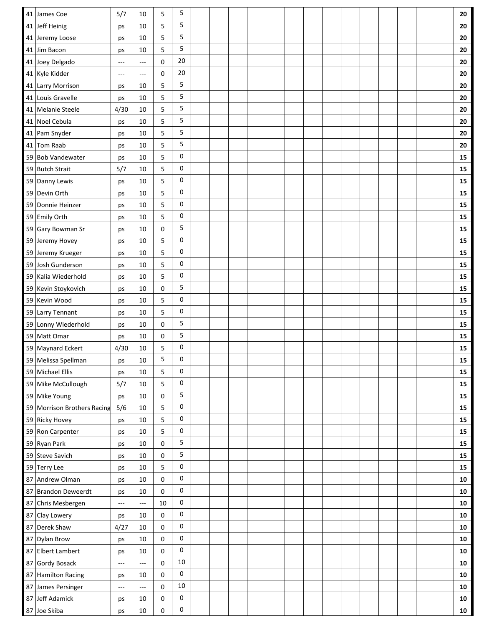|    | 41 James Coe                | 5/7           | 10     | 5  | 5           |  |  |  |  |  |  |  | 20         |
|----|-----------------------------|---------------|--------|----|-------------|--|--|--|--|--|--|--|------------|
|    | 41 Jeff Heinig              | ps            | 10     | 5  | 5           |  |  |  |  |  |  |  | 20         |
|    | 41 Jeremy Loose             | ps            | 10     | 5  | 5           |  |  |  |  |  |  |  | 20         |
|    | 41 Jim Bacon                | ps            | 10     | 5  | 5           |  |  |  |  |  |  |  | 20         |
|    | 41 Joey Delgado             | $\sim$ $\sim$ | ---    | 0  | 20          |  |  |  |  |  |  |  | 20         |
|    | 41 Kyle Kidder              | $---$         | ---    | 0  | 20          |  |  |  |  |  |  |  | 20         |
|    | 41 Larry Morrison           | ps            | 10     | 5  | 5           |  |  |  |  |  |  |  | 20         |
|    | 41 Louis Gravelle           | ps            | 10     | 5  | 5           |  |  |  |  |  |  |  | 20         |
|    | 41 Melanie Steele           | 4/30          | 10     | 5  | 5           |  |  |  |  |  |  |  | 20         |
|    | 41 Noel Cebula              | ps            | 10     | 5  | 5           |  |  |  |  |  |  |  | 20         |
|    | 41 Pam Snyder               | ps            | 10     | 5  | 5           |  |  |  |  |  |  |  | 20         |
|    | 41 Tom Raab                 | ps            | 10     | 5  | 5           |  |  |  |  |  |  |  | 20         |
|    | 59 Bob Vandewater           | ps            | 10     | 5  | 0           |  |  |  |  |  |  |  | 15         |
|    | 59 Butch Strait             | 5/7           | 10     | 5  | 0           |  |  |  |  |  |  |  | 15         |
|    | 59 Danny Lewis              | ps            | 10     | 5  | 0           |  |  |  |  |  |  |  | 15         |
|    | 59 Devin Orth               | ps            | 10     | 5  | 0           |  |  |  |  |  |  |  | 15         |
|    | 59 Donnie Heinzer           | ps            | 10     | 5  | 0           |  |  |  |  |  |  |  | 15         |
|    | 59 Emily Orth               | ps            | 10     | 5  | 0           |  |  |  |  |  |  |  | 15         |
|    | 59 Gary Bowman Sr           | ps            | 10     | 0  | 5           |  |  |  |  |  |  |  | 15         |
|    | 59 Jeremy Hovey             | ps            | 10     | 5  | 0           |  |  |  |  |  |  |  | 15         |
|    | 59 Jeremy Krueger           | ps            | 10     | 5  | 0           |  |  |  |  |  |  |  | 15         |
| 59 | Josh Gunderson              | ps            | 10     | 5  | 0           |  |  |  |  |  |  |  | 15         |
|    | 59 Kalia Wiederhold         | ps            | 10     | 5  | 0           |  |  |  |  |  |  |  | 15         |
|    | 59 Kevin Stoykovich         | ps            | 10     | 0  | 5           |  |  |  |  |  |  |  | 15         |
|    | 59 Kevin Wood               | ps            | 10     | 5  | 0           |  |  |  |  |  |  |  | 15         |
|    | 59 Larry Tennant            | ps            | 10     | 5  | 0           |  |  |  |  |  |  |  | 15         |
|    | 59 Lonny Wiederhold         | ps            | 10     | 0  | 5           |  |  |  |  |  |  |  | 15         |
|    | 59 Matt Omar                | ps            | 10     | 0  | 5           |  |  |  |  |  |  |  | 15         |
|    | 59 Maynard Eckert           | 4/30          | 10     | 5  | 0           |  |  |  |  |  |  |  | 15         |
|    | 59 Melissa Spellman         | ps            | 10     | 5  | 0           |  |  |  |  |  |  |  | 15         |
|    | 59 Michael Ellis            | ps            | 10     | 5  | 0           |  |  |  |  |  |  |  | 15         |
|    | 59 Mike McCullough          | 5/7           | 10     | 5  | 0           |  |  |  |  |  |  |  | 15         |
|    | 59 Mike Young               |               | $10\,$ | 0  | 5           |  |  |  |  |  |  |  | 15         |
|    | 59 Morrison Brothers Racing | ps<br>5/6     | 10     | 5  | 0           |  |  |  |  |  |  |  | 15         |
|    | 59 Ricky Hovey              |               | $10\,$ | 5  | 0           |  |  |  |  |  |  |  | ${\bf 15}$ |
|    | 59 Ron Carpenter            | ps            | 10     | 5  | 0           |  |  |  |  |  |  |  | ${\bf 15}$ |
|    | 59 Ryan Park                | ps<br>ps      | $10\,$ | 0  | 5           |  |  |  |  |  |  |  | 15         |
|    | 59 Steve Savich             |               | 10     | 0  | 5           |  |  |  |  |  |  |  | ${\bf 15}$ |
|    | 59 Terry Lee                | ps            | 10     | 5  | 0           |  |  |  |  |  |  |  | ${\bf 15}$ |
|    | 87 Andrew Olman             | ps            | 10     | 0  | 0           |  |  |  |  |  |  |  | 10         |
|    | 87 Brandon Deweerdt         | ps<br>ps      | 10     | 0  | 0           |  |  |  |  |  |  |  | 10         |
|    | 87 Chris Mesbergen          | $\sim$ $\sim$ | ---    | 10 | 0           |  |  |  |  |  |  |  | 10         |
|    | 87 Clay Lowery              |               | 10     | 0  | 0           |  |  |  |  |  |  |  | ${\bf 10}$ |
|    |                             | ps            |        |    | 0           |  |  |  |  |  |  |  |            |
|    | 87 Derek Shaw               | 4/27          | 10     | 0  | 0           |  |  |  |  |  |  |  | ${\bf 10}$ |
|    | 87 Dylan Brow               | ps            | 10     | 0  | 0           |  |  |  |  |  |  |  | 10         |
|    | 87 Elbert Lambert           | ps            | 10     | 0  | $10\,$      |  |  |  |  |  |  |  | ${\bf 10}$ |
|    | 87 Gordy Bosack             | ---           | ---    | 0  | $\mathbf 0$ |  |  |  |  |  |  |  | ${\bf 10}$ |
|    | 87 Hamilton Racing          | ps            | 10     | 0  | $10\,$      |  |  |  |  |  |  |  | 10         |
|    | 87 James Persinger          | $-\!-\!$      | ---    | 0  |             |  |  |  |  |  |  |  | 10         |
|    | 87 Jeff Adamick             | ps            | 10     | 0  | 0           |  |  |  |  |  |  |  | 10         |
|    | 87 Joe Skiba                | ps            | 10     | 0  | 0           |  |  |  |  |  |  |  | 10         |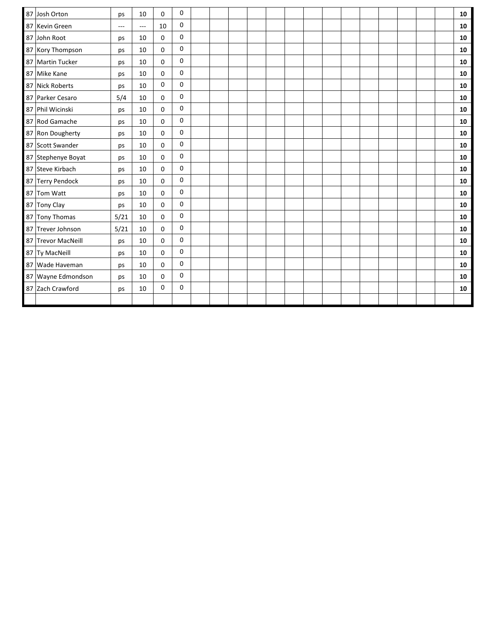| 0<br>87<br>Josh Orton<br>10<br>0<br>ps<br>0<br>87 Kevin Green<br>10<br>$---$<br>$\hspace{0.05cm} \ldots$<br>0<br>87<br>John Root<br>10<br>0<br>ps<br>0<br>87 Kory Thompson<br>10<br>0<br>ps<br>0<br>87 Martin Tucker<br>10<br>0<br>ps<br>0<br>10<br>$\mathbf 0$<br>87 Mike Kane<br>ps<br>0<br>0<br>87 Nick Roberts<br>10<br>ps<br>0<br>5/4<br>87 Parker Cesaro<br>10<br>0<br>0<br>87 Phil Wicinski<br>10<br>0<br>ps<br>0<br>87 Rod Gamache<br>10<br>0<br>ps<br>0<br>87 Ron Dougherty<br>10<br>0 | 10<br>10<br>10<br>10<br>10<br>10<br>10<br>10<br>${\bf 10}$<br>10 |
|-------------------------------------------------------------------------------------------------------------------------------------------------------------------------------------------------------------------------------------------------------------------------------------------------------------------------------------------------------------------------------------------------------------------------------------------------------------------------------------------------|------------------------------------------------------------------|
|                                                                                                                                                                                                                                                                                                                                                                                                                                                                                                 |                                                                  |
|                                                                                                                                                                                                                                                                                                                                                                                                                                                                                                 |                                                                  |
|                                                                                                                                                                                                                                                                                                                                                                                                                                                                                                 |                                                                  |
|                                                                                                                                                                                                                                                                                                                                                                                                                                                                                                 |                                                                  |
|                                                                                                                                                                                                                                                                                                                                                                                                                                                                                                 |                                                                  |
|                                                                                                                                                                                                                                                                                                                                                                                                                                                                                                 |                                                                  |
|                                                                                                                                                                                                                                                                                                                                                                                                                                                                                                 |                                                                  |
|                                                                                                                                                                                                                                                                                                                                                                                                                                                                                                 |                                                                  |
|                                                                                                                                                                                                                                                                                                                                                                                                                                                                                                 |                                                                  |
|                                                                                                                                                                                                                                                                                                                                                                                                                                                                                                 |                                                                  |
| ps                                                                                                                                                                                                                                                                                                                                                                                                                                                                                              | 10                                                               |
| 0<br>87 Scott Swander<br>10<br>0<br>ps                                                                                                                                                                                                                                                                                                                                                                                                                                                          | 10                                                               |
| 0<br>87 Stephenye Boyat<br>10<br>0<br>ps                                                                                                                                                                                                                                                                                                                                                                                                                                                        | 10                                                               |
| 0<br>87 Steve Kirbach<br>10<br>0<br>ps                                                                                                                                                                                                                                                                                                                                                                                                                                                          | 10                                                               |
| 0<br>87 Terry Pendock<br>0<br>10<br>ps                                                                                                                                                                                                                                                                                                                                                                                                                                                          | ${\bf 10}$                                                       |
| 0<br>87 Tom Watt<br>10<br>0<br>ps                                                                                                                                                                                                                                                                                                                                                                                                                                                               | ${\bf 10}$                                                       |
| 0<br>87 Tony Clay<br>0<br>10<br>ps                                                                                                                                                                                                                                                                                                                                                                                                                                                              | 10                                                               |
| 0<br>87 Tony Thomas<br>5/21<br>10<br>0                                                                                                                                                                                                                                                                                                                                                                                                                                                          | 10                                                               |
| 0<br>87 Trever Johnson<br>5/21<br>0<br>10                                                                                                                                                                                                                                                                                                                                                                                                                                                       | 10                                                               |
| 0<br>87 Trevor MacNeill<br>10<br>0<br>ps                                                                                                                                                                                                                                                                                                                                                                                                                                                        | 10                                                               |
| 0<br>0<br>87 Ty MacNeill<br>10<br>ps                                                                                                                                                                                                                                                                                                                                                                                                                                                            | ${\bf 10}$                                                       |
| 0<br>87 Wade Haveman<br>10<br>0<br>ps                                                                                                                                                                                                                                                                                                                                                                                                                                                           | ${\bf 10}$                                                       |
| 0<br>87 Wayne Edmondson<br>10<br>0<br>ps                                                                                                                                                                                                                                                                                                                                                                                                                                                        | 10                                                               |
| 0<br>0<br>87 Zach Crawford<br>10<br>ps                                                                                                                                                                                                                                                                                                                                                                                                                                                          | 10                                                               |
|                                                                                                                                                                                                                                                                                                                                                                                                                                                                                                 |                                                                  |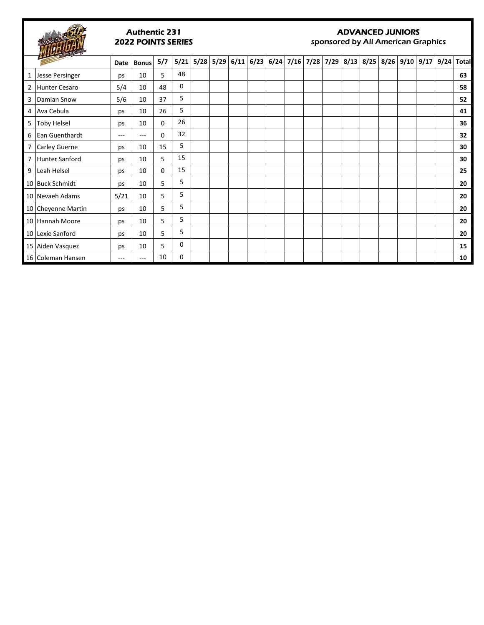

#### Authentic 231 2022 POINTS SERIES

#### ADVANCED JUNIORS

sponsored by All American Graphics

|    | $\overline{\phantom{a}}$ | Date | <b>Bonus</b> | 5/7 |    | 5/21 5/28 5/29 6/11 6/23 6/24 7/16 7/28 7/29 8/13 8/25 8/26 9/10 9/17 9/24 |  |  |  |  |  |  | <b>Total</b> |
|----|--------------------------|------|--------------|-----|----|----------------------------------------------------------------------------|--|--|--|--|--|--|--------------|
| 1  | Jesse Persinger          | ps   | 10           | 5   | 48 |                                                                            |  |  |  |  |  |  | 63           |
| 2  | Hunter Cesaro            | 5/4  | 10           | 48  | 0  |                                                                            |  |  |  |  |  |  | 58           |
| 3  | Damian Snow              | 5/6  | 10           | 37  | 5  |                                                                            |  |  |  |  |  |  | 52           |
| 4  | Ava Cebula               | ps   | 10           | 26  | 5  |                                                                            |  |  |  |  |  |  | 41           |
| 5. | <b>Toby Helsel</b>       | ps   | 10           | 0   | 26 |                                                                            |  |  |  |  |  |  | 36           |
| 6  | Ean Guenthardt           | ---  | ---          | 0   | 32 |                                                                            |  |  |  |  |  |  | 32           |
| 7  | Carley Guerne            | ps   | 10           | 15  | 5  |                                                                            |  |  |  |  |  |  | 30           |
|    | Hunter Sanford           | ps   | 10           | 5   | 15 |                                                                            |  |  |  |  |  |  | 30           |
|    | 9 Leah Helsel            | ps   | 10           | 0   | 15 |                                                                            |  |  |  |  |  |  | 25           |
|    | 10 Buck Schmidt          | ps   | 10           | 5   | 5  |                                                                            |  |  |  |  |  |  | 20           |
|    | 10 Nevaeh Adams          | 5/21 | 10           | 5   | 5  |                                                                            |  |  |  |  |  |  | 20           |
|    | 10 Cheyenne Martin       | ps   | 10           | 5   | 5  |                                                                            |  |  |  |  |  |  | 20           |
|    | 10 Hannah Moore          | ps   | 10           | 5   | 5  |                                                                            |  |  |  |  |  |  | 20           |
|    | 10 Lexie Sanford         | ps   | 10           | 5   | 5  |                                                                            |  |  |  |  |  |  | 20           |
|    | 15 Aiden Vasquez         | ps   | 10           | 5.  | 0  |                                                                            |  |  |  |  |  |  | 15           |
|    | 16 Coleman Hansen        | ---  | ---          | 10  | 0  |                                                                            |  |  |  |  |  |  | 10           |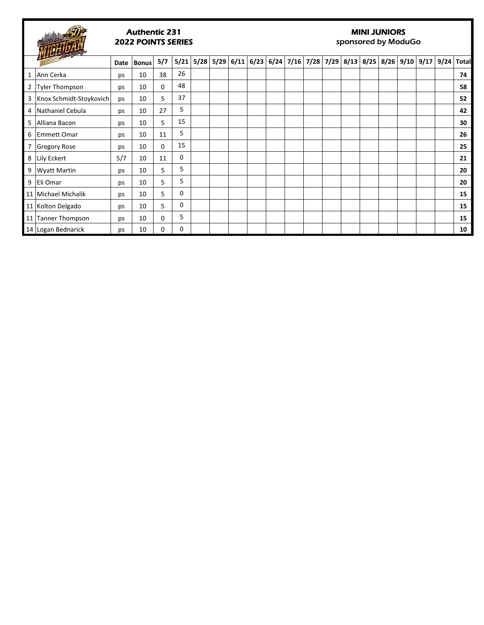

### Authentic 231 2022 POINTS SERIES

### MINI JUNIORS

sponsored by ModuGo

| <b>Contract on the Contract of the Contract of the Contract of the Contract of the Contract of the Contract of the Contract of the Contract of the Contract of the Contract of the Contract of the Contract of the Contract of t</b> |     | Date Bonus | 5/7      |    | 5/21 5/28 5/29 6/11 6/23 6/24 7/16 7/28 7/29 8/13 8/25 8/26 9/10 9/17 9/24 Total |  |  |  |  |  |  |    |
|--------------------------------------------------------------------------------------------------------------------------------------------------------------------------------------------------------------------------------------|-----|------------|----------|----|----------------------------------------------------------------------------------|--|--|--|--|--|--|----|
| 1 Ann Cerka                                                                                                                                                                                                                          | ps  | 10         | 38       | 26 |                                                                                  |  |  |  |  |  |  | 74 |
| 2   Tyler Thompson                                                                                                                                                                                                                   | ps  | 10         | 0        | 48 |                                                                                  |  |  |  |  |  |  | 58 |
| 3   Knox Schmidt-Stoykovich                                                                                                                                                                                                          | ps  | 10         | 5        | 37 |                                                                                  |  |  |  |  |  |  | 52 |
| 4   Nathaniel Cebula                                                                                                                                                                                                                 | ps  | 10         | 27       | 5  |                                                                                  |  |  |  |  |  |  | 42 |
| 5 Alliana Bacon                                                                                                                                                                                                                      | ps  | 10         | 5        | 15 |                                                                                  |  |  |  |  |  |  | 30 |
| 6 Emmett Omar                                                                                                                                                                                                                        | ps  | 10         | 11       | 5  |                                                                                  |  |  |  |  |  |  | 26 |
| Gregory Rose                                                                                                                                                                                                                         | ps  | 10         | 0        | 15 |                                                                                  |  |  |  |  |  |  | 25 |
| 8 Lily Eckert                                                                                                                                                                                                                        | 5/7 | 10         | 11       | 0  |                                                                                  |  |  |  |  |  |  | 21 |
| 9   Wyatt Martin                                                                                                                                                                                                                     | ps  | 10         | 5        | 5  |                                                                                  |  |  |  |  |  |  | 20 |
| 9 Eli Omar                                                                                                                                                                                                                           | ps  | 10         | 5        | 5  |                                                                                  |  |  |  |  |  |  | 20 |
| 11   Michael Michalik                                                                                                                                                                                                                | ps  | 10         | 5        | 0  |                                                                                  |  |  |  |  |  |  | 15 |
| 11 Kolton Delgado                                                                                                                                                                                                                    | ps  | 10         | 5        | 0  |                                                                                  |  |  |  |  |  |  | 15 |
| 11 Tanner Thompson                                                                                                                                                                                                                   | ps  | 10         | $\Omega$ | 5  |                                                                                  |  |  |  |  |  |  | 15 |
| 14 Logan Bednarick                                                                                                                                                                                                                   | ps  | 10         | 0        | 0  |                                                                                  |  |  |  |  |  |  | 10 |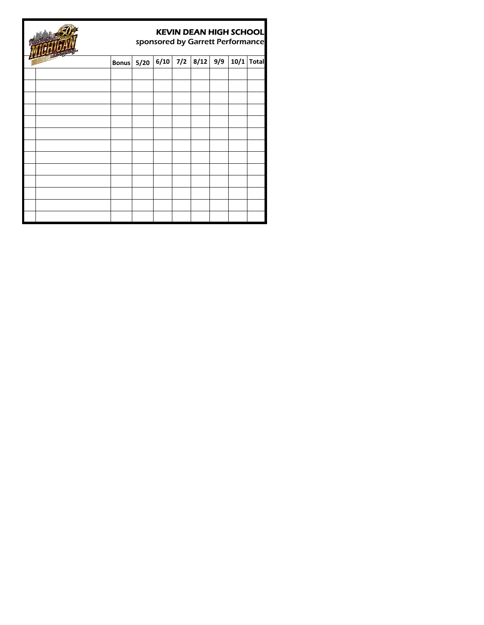|  |                   |  | <b>KEVIN DEAN HIGH SCHOOL</b> |      | sponsored by Garrett Performance |
|--|-------------------|--|-------------------------------|------|----------------------------------|
|  | <b>Bonus</b> 5/20 |  | $6/10$ 7/2 8/12 9/9           | 10/1 | <b>Total</b>                     |
|  |                   |  |                               |      |                                  |
|  |                   |  |                               |      |                                  |
|  |                   |  |                               |      |                                  |
|  |                   |  |                               |      |                                  |
|  |                   |  |                               |      |                                  |
|  |                   |  |                               |      |                                  |
|  |                   |  |                               |      |                                  |
|  |                   |  |                               |      |                                  |
|  |                   |  |                               |      |                                  |
|  |                   |  |                               |      |                                  |
|  |                   |  |                               |      |                                  |
|  |                   |  |                               |      |                                  |
|  |                   |  |                               |      |                                  |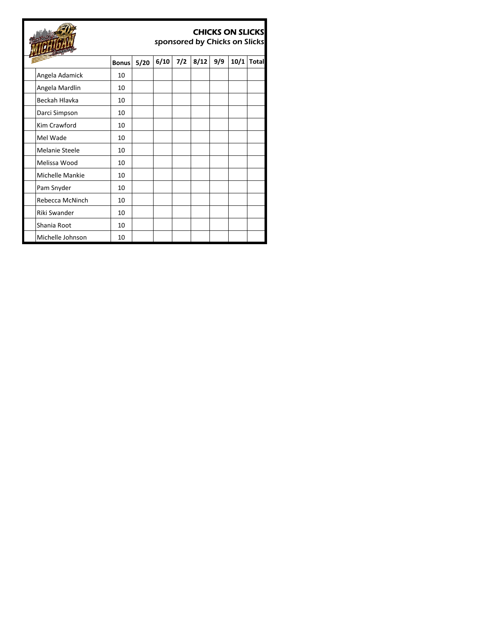|                       |              |      |      |     | sponsored by Chicks on Slicks |     | <b>CHICKS ON SLICKS</b> |              |
|-----------------------|--------------|------|------|-----|-------------------------------|-----|-------------------------|--------------|
|                       | <b>Bonus</b> | 5/20 | 6/10 | 7/2 | 8/12                          | 9/9 | 10/1                    | <b>Total</b> |
| Angela Adamick        | 10           |      |      |     |                               |     |                         |              |
| Angela Mardlin        | 10           |      |      |     |                               |     |                         |              |
| Beckah Hlavka         | 10           |      |      |     |                               |     |                         |              |
| Darci Simpson         | 10           |      |      |     |                               |     |                         |              |
| Kim Crawford          | 10           |      |      |     |                               |     |                         |              |
| Mel Wade              | 10           |      |      |     |                               |     |                         |              |
| <b>Melanie Steele</b> | 10           |      |      |     |                               |     |                         |              |
| Melissa Wood          | 10           |      |      |     |                               |     |                         |              |
| Michelle Mankie       | 10           |      |      |     |                               |     |                         |              |
| Pam Snyder            | 10           |      |      |     |                               |     |                         |              |
| Rebecca McNinch       | 10           |      |      |     |                               |     |                         |              |
| Riki Swander          | 10           |      |      |     |                               |     |                         |              |
| Shania Root           | 10           |      |      |     |                               |     |                         |              |
| Michelle Johnson      | 10           |      |      |     |                               |     |                         |              |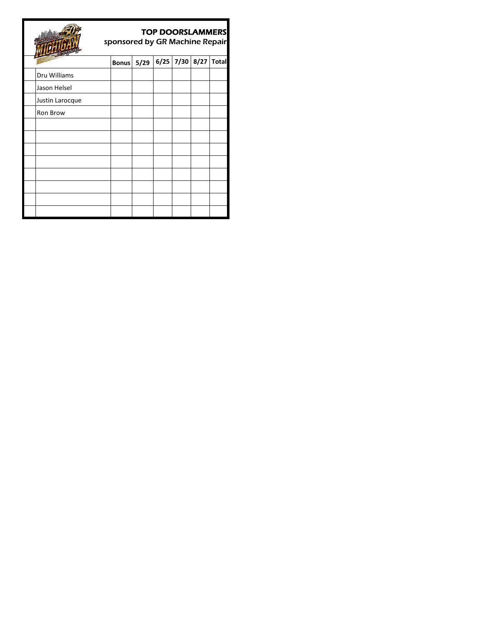|                 | sponsored by GR Machine Repair |      | <b>TOP DOORSLAMMERS</b> |      |      |              |
|-----------------|--------------------------------|------|-------------------------|------|------|--------------|
|                 | <b>Bonus</b>                   | 5/29 | 6/25                    | 7/30 | 8/27 | <b>Total</b> |
| Dru Williams    |                                |      |                         |      |      |              |
| Jason Helsel    |                                |      |                         |      |      |              |
| Justin Larocque |                                |      |                         |      |      |              |
| Ron Brow        |                                |      |                         |      |      |              |
|                 |                                |      |                         |      |      |              |
|                 |                                |      |                         |      |      |              |
|                 |                                |      |                         |      |      |              |
|                 |                                |      |                         |      |      |              |
|                 |                                |      |                         |      |      |              |
|                 |                                |      |                         |      |      |              |
|                 |                                |      |                         |      |      |              |
|                 |                                |      |                         |      |      |              |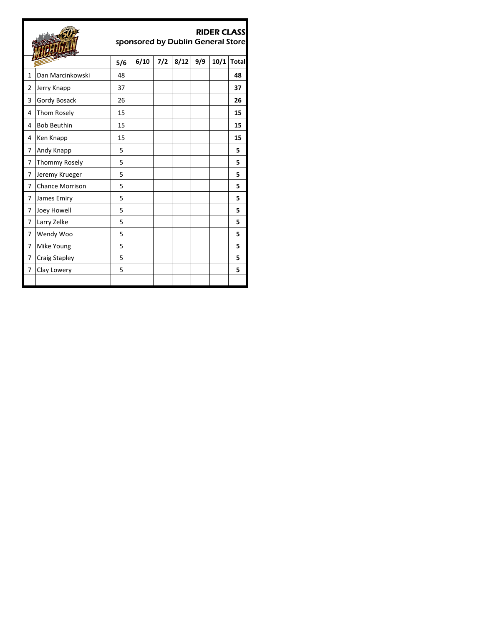|                |                        |     | sponsored by Dublin General Store |     |      |     | <b>RIDER CLASS</b> |              |
|----------------|------------------------|-----|-----------------------------------|-----|------|-----|--------------------|--------------|
|                |                        | 5/6 | 6/10                              | 7/2 | 8/12 | 9/9 | 10/1               | <b>Total</b> |
| $\mathbf{1}$   | Dan Marcinkowski       | 48  |                                   |     |      |     |                    | 48           |
| $\overline{2}$ | Jerry Knapp            | 37  |                                   |     |      |     |                    | 37           |
| 3              | Gordy Bosack           | 26  |                                   |     |      |     |                    | 26           |
| 4              | Thom Rosely            | 15  |                                   |     |      |     |                    | 15           |
| 4              | <b>Bob Beuthin</b>     | 15  |                                   |     |      |     |                    | 15           |
| 4              | Ken Knapp              | 15  |                                   |     |      |     |                    | 15           |
| 7              | Andy Knapp             | 5   |                                   |     |      |     |                    | 5            |
| 7              | Thommy Rosely          | 5   |                                   |     |      |     |                    | 5            |
| 7              | Jeremy Krueger         | 5   |                                   |     |      |     |                    | 5            |
| 7              | <b>Chance Morrison</b> | 5   |                                   |     |      |     |                    | 5.           |
| 7              | James Emiry            | 5   |                                   |     |      |     |                    | 5            |
| 7              | Joey Howell            | 5   |                                   |     |      |     |                    | 5            |
| 7              | Larry Zelke            | 5   |                                   |     |      |     |                    | 5            |
| 7              | Wendy Woo              | 5   |                                   |     |      |     |                    | 5            |
| 7              | Mike Young             | 5   |                                   |     |      |     |                    | 5            |
| 7              | <b>Craig Stapley</b>   | 5   |                                   |     |      |     |                    | 5            |
| 7              | Clay Lowery            | 5   |                                   |     |      |     |                    | 5            |
|                |                        |     |                                   |     |      |     |                    |              |